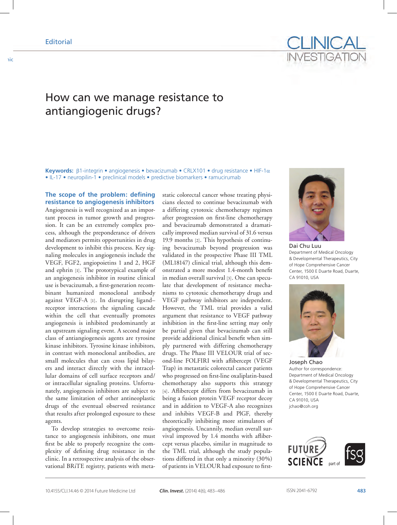## **Editorial**

How can we manage resistance to antiangiogenic drugs?

**Keywords:** β1-integrin • angiogenesis • bevacizumab • CRLX101 • drug resistance • HIF-1α • IL-17 • neuropilin-1 • preclinical models • predictive biomarkers • ramucirumab

**The scope of the problem: defining resistance to angiogenesis inhibitors** Angiogenesis is well recognized as an important process in tumor growth and progression. It can be an extremely complex process, although the preponderance of drivers and mediators permits opportunities in drug development to inhibit this process. Key signaling molecules in angiogenesis include the VEGF, FGF2, angiopoietins 1 and 2, HGF and ephrin [1]. The prototypical example of an angiogenesis inhibitor in routine clinical use is bevacizumab, a first-generation recombinant humanized monoclonal antibody against VEGF-A [1]. In disrupting ligand– receptor interactions the signaling cascade within the cell that eventually promotes angiogenesis is inhibited predominantly at an upstream signaling event. A second major class of antiangiogenesis agents are tyrosine kinase inhibitors. Tyrosine kinase inhibitors, in contrast with monoclonal antibodies, are small molecules that can cross lipid bilayers and interact directly with the intracellular domains of cell surface receptors and/ or intracellular signaling proteins. Unfortunately, angiogenesis inhibitors are subject to the same limitation of other antineoplastic drugs of the eventual observed resistance that results after prolonged exposure to these agents.

To develop strategies to overcome resistance to angiogenesis inhibitors, one must first be able to properly recognize the complexity of defining drug resistance in the clinic. In a retrospective analysis of the observational BRiTE registry, patients with metastatic colorectal cancer whose treating physicians elected to continue bevacizumab with a differing cytotoxic chemotherapy regimen after progression on first-line chemotherapy and bevacizumab demonstrated a dramatically improved median survival of 31.6 versus 19.9 months [2]. This hypothesis of continuing bevacizumab beyond progression was validated in the prospective Phase III TML (ML18147) clinical trial, although this demonstrated a more modest 1.4-month benefit in median overall survival [3]. One can speculate that development of resistance mechanisms to cytotoxic chemotherapy drugs and VEGF pathway inhibitors are independent. However, the TML trial provides a valid argument that resistance to VEGF pathway inhibition in the first-line setting may only be partial given that bevacizumab can still provide additional clinical benefit when simply partnered with differing chemotherapy drugs. The Phase III VELOUR trial of second-line FOLFIRI with aflibercept (VEGF Trap) in metastatic colorectal cancer patients who progressed on first-line oxaliplatin-based chemotherapy also supports this strategy [4]. Aflibercept differs from bevacizumab in being a fusion protein VEGF receptor decoy and in addition to VEGF-A also recognizes and inhibits VEGF-B and PlGF, thereby theoretically inhibiting more stimulators of angiogenesis. Uncannily, median overall survival improved by 1.4 months with aflibercept versus placebo, similar in magnitude to the TML trial, although the study populations differed in that only a minority (30%) of patients in VELOUR had exposure to first-



Dai Chu Luu Department of Medical Oncology & Developmental Therapeutics, City of Hope Comprehensive Cancer Center, 1500 E Duarte Road, Duarte, CA 91010, USA



Joseph Chao Author for correspondence: Department of Medical Oncology & Developmental Therapeutics, City of Hope Comprehensive Cancer Center, 1500 E Duarte Road, Duarte, CA 91010, USA jchao@coh.org

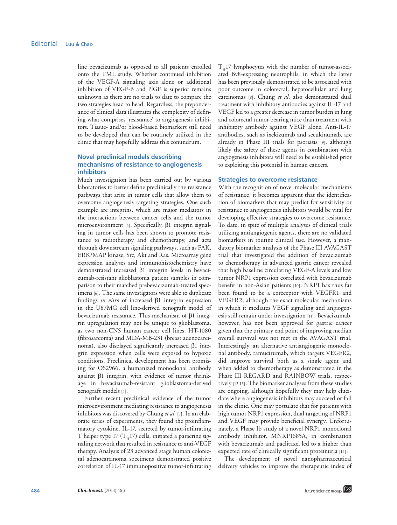line bevacizumab as opposed to all patients enrolled onto the TML study. Whether continued inhibition of the VEGF-A signaling axis alone or additional inhibition of VEGF-B and PlGF is superior remains unknown as there are no trials to date to compare the two strategies head to head. Regardless, the preponderance of clinical data illustrates the complexity of defining what comprises 'resistance' to angiogenesis inhibitors. Tissue- and/or blood-based biomarkers still need to be developed that can be routinely utilized in the clinic that may hopefully address this conundrum.

## **Novel preclinical models describing mechanisms of resistance to angiogenesis inhibitors**

Much investigation has been carried out by various laboratories to better define preclinically the resistance pathways that arise in tumor cells that allow them to overcome angiogenesis targeting strategies. One such example are integrins, which are major mediators in the interactions between cancer cells and the tumor microenvironment [5]. Specifically, β1 integrin signaling in tumor cells has been shown to promote resistance to radiotherapy and chemotherapy, and acts through downstream signaling pathways, such as FAK, ERK/MAP kinase, Src, Akt and Ras. Microarray gene expression analyses and immunohistochemistry have demonstrated increased β1 integrin levels in bevacizumab-resistant glioblastoma patient samples in comparison to their matched prebevacizumab-treated specimens [6]. The same investigators were able to duplicate findings *in vitro* of increased β1 integrin expression in the U87MG cell line-derived xenograft model of bevacizumab resistance. This mechanism of β1 integrin upregulation may not be unique to glioblastoma, as two non-CNS human cancer cell lines, HT-1080 (fibrosarcoma) and MDA-MB-231 (breast adenocarcinoma), also displayed significantly increased β1 integrin expression when cells were exposed to hypoxic conditions. Preclinical development has been promising for OS2966, a humanized monoclonal antibody against β1 integrin, with evidence of tumor shrinkage in bevacizumab-resistant glioblastoma-derived xenograft models [5].

Further recent preclinical evidence of the tumor microenvironment mediating resistance to angiogenesis inhibitors was discovered by Chung *et al.* [7]. In an elaborate series of experiments, they found the proinflammatory cytokine, IL-17, secreted by tumor-infiltrating T helper type 17 ( $T_H$ 17) cells, initiated a paracrine signaling network that resulted in resistance to anti-VEGF therapy. Analysis of 23 advanced stage human colorectal adenocarcinoma specimens demonstrated positive correlation of IL-17 immunopositive tumor-infiltrating  $T<sub>H</sub>17$  lymphocytes with the number of tumor-associated Bv8-expressing neutrophils, in which the latter has been previously demonstrated to be associated with poor outcome in colorectal, hepatocellular and lung carcinomas [8]. Chung *et al.* also demonstrated dual treatment with inhibitory antibodies against IL-17 and VEGF led to a greater decrease in tumor burden in lung and colorectal tumor-bearing mice than treatment with inhibitory antibody against VEGF alone. Anti-IL-17 antibodies, such as ixekizumab and secukinumab, are already in Phase III trials for psoriasis [9], although likely the safety of these agents in combination with angiogenesis inhibitors will need to be established prior to exploiting this potential in human cancers.

### **Strategies to overcome resistance**

With the recognition of novel molecular mechanisms of resistance, it becomes apparent that the identification of biomarkers that may predict for sensitivity or resistance to angiogenesis inhibitors would be vital for developing effective strategies to overcome resistance. To date, in spite of multiple analyses of clinical trials utilizing antiangiogenic agents, there are no validated biomarkers in routine clinical use. However, a mandatory biomarker analysis of the Phase III AVAGAST trial that investigated the addition of bevacizumab to chemotherapy in advanced gastric cancer revealed that high baseline circulating VEGF-A levels and low tumor NRP1 expression correlated with bevacizumab benefit in non-Asian patients [10]. NRP1 has thus far been found to be a coreceptor with VEGFR1 and VEGFR2, although the exact molecular mechanisms in which it mediates VEGF signaling and angiogenesis still remain under investigation [11]. Bevacizumab, however, has not been approved for gastric cancer given that the primary end point of improving median overall survival was not met in the AVAGAST trial. Interestingly, an alternative antiangiogenic monoclonal antibody, ramucirumab, which targets VEGFR2, did improve survival both as a single agent and when added to chemotherapy as demonstrated in the Phase III REGARD and RAINBOW trials, respectively [12,13]. The biomarker analyses from these studies are ongoing, although hopefully they may help elucidate where angiogenesis inhibitors may succeed or fail in the clinic. One may postulate that for patients with high tumor NRP1 expression, dual targeting of NRP1 and VEGF may provide beneficial synergy. Unfortunately, a Phase Ib study of a novel NRP1 monoclonal antibody inhibitor, MNRP1685A, in combination with bevacizumab and paclitaxel led to a higher than expected rate of clinically significant proteinuria [14].

The development of novel nanopharmaceutical delivery vehicles to improve the therapeutic index of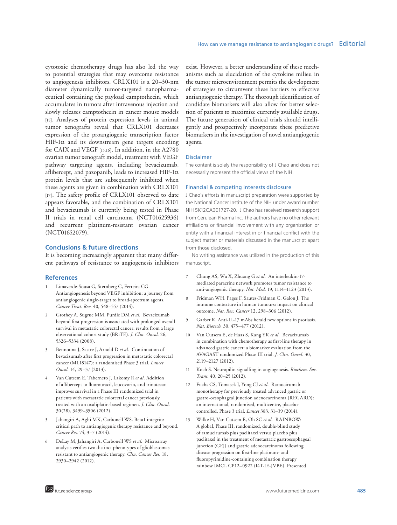cytotoxic chemotherapy drugs has also led the way to potential strategies that may overcome resistance to angiogenesis inhibitors. CRLX101 is a 20–30-nm diameter dynamically tumor-targeted nanopharmaceutical containing the payload camptothecin, which accumulates in tumors after intravenous injection and slowly releases camptothecin in cancer mouse models [15]. Analyses of protein expression levels in animal tumor xenografts reveal that CRLX101 decreases expression of the proangiogenic transcription factor HIF-1 $\alpha$  and its downstream gene targets encoding for CAIX and VEGF [15,16]. In addition, in the A2780 ovarian tumor xenograft model, treatment with VEGF pathway targeting agents, including bevacizumab, aflibercept, and pazopanib, leads to increased HIF-1 $\alpha$ protein levels that are subsequently inhibited when these agents are given in combination with CRLX101 [17]. The safety profile of CRLX101 observed to date appears favorable, and the combination of CRLX101 and bevacizumab is currently being tested in Phase II trials in renal cell carcinoma (NCT01625936) and recurrent platinum-resistant ovarian cancer (NCT01652079).

## **Conclusions & future directions**

It is becoming increasingly apparent that many different pathways of resistance to angiogenesis inhibitors

#### **References**

- Limaverde-Sousa G, Sternberg C, Ferreira CG. Antiangiogenesis beyond VEGF inhibition: a journey from antiangiogenic single-target to broad-spectrum agents. *Cancer Treat. Rev.* 40, 548–557 (2014).
- 2 Grothey A, Sugrue MM, Purdie DM *et al.* Bevacizumab beyond first progression is associated with prolonged overall survival in metastatic colorectal cancer: results from a large observational cohort study (BRiTE). *J. Clin. Oncol.* 26, 5326–5334 (2008).
- 3 Bennouna J, Sastre J, Arnold D *et al.* Continuation of bevacizumab after first progression in metastatic colorectal cancer (ML18147): a randomised Phase 3 trial. *Lancet Oncol.* 14, 29–37 (2013).
- 4 Van Cutsem E, Tabernero J, Lakomy R *et al.* Addition of aflibercept to fluorouracil, leucovorin, and irinotecan improves survival in a Phase III randomized trial in patients with metastatic colorectal cancer previously treated with an oxaliplatin-based regimen. *J. Clin. Oncol*. 30(28), 3499–3506 (2012).
- 5 Jahangiri A, Aghi MK, Carbonell WS. Beta1 integrin: critical path to antiangiogenic therapy resistance and beyond. *Cancer Res.* 74, 3–7 (2014).
- 6 DeLay M, Jahangiri A, Carbonell WS *et al.* Microarray analysis verifies two distinct phenotypes of glioblastomas resistant to antiangiogenic therapy. *Clin. Cancer Res.* 18, 2930–2942 (2012).

exist. However, a better understanding of these mechanisms such as elucidation of the cytokine milieu in the tumor microenvironment permits the development of strategies to circumvent these barriers to effective antiangiogenic therapy. The thorough identification of candidate biomarkers will also allow for better selection of patients to maximize currently available drugs. The future generation of clinical trials should intelligently and prospectively incorporate these predictive biomarkers in the investigation of novel antiangiogenic agents.

## Disclaimer

The content is solely the responsibility of J Chao and does not necessarily represent the official views of the NIH.

#### Financial & competing interests disclosure

J Chao's efforts in manuscript preparation were supported by the National Cancer Institute of the NIH under award number NIH 5K12CA001727-20. J Chao has received research support from Cerulean Pharma Inc. The authors have no other relevant affiliations or financial involvement with any organization or entity with a financial interest in or financial conflict with the subject matter or materials discussed in the manuscript apart from those disclosed.

No writing assistance was utilized in the production of this manuscript.

- 7 Chung AS, Wu X, Zhuang G *et al.* An interleukin-17 mediated paracrine network promotes tumor resistance to anti-angiogenic therapy. *Nat. Med.* 19, 1114–1123 (2013).
- 8 Fridman WH, Pages F, Sautes-Fridman C, Galon J. The immune contexture in human tumours: impact on clinical outcome. *Nat. Rev. Cancer* 12, 298–306 (2012).
- 9 Garber K. Anti-IL-17 mAbs herald new options in psoriasis. *Nat. Biotech.* 30, 475–477 (2012).
- 10 Van Cutsem E, de Haas S, Kang YK *et al.* Bevacizumab in combination with chemotherapy as first-line therapy in advanced gastric cancer: a biomarker evaluation from the AVAGAST randomized Phase III trial. *J. Clin. Oncol.* 30, 2119–2127 (2012).
- 11 Koch S. Neuropilin signalling in angiogenesis. *Biochem. Soc. Trans.* 40, 20–25 (2012).
- 12 Fuchs CS, Tomasek J, Yong CJ *et al.* Ramucirumab monotherapy for previously treated advanced gastric or gastro-oesophageal junction adenocarcinoma (REGARD): an international, randomised, multicentre, placebocontrolled, Phase 3 trial. *Lancet* 383, 31–39 (2014).
- 13 Wilke H, Van Cutsem E, Oh SC *et al.* RAINBOW: A global, Phase III, randomized, double-blind study of ramucirumab plus paclitaxel versus placebo plus paclitaxel in the treatment of metastatic gastroesophageal junction (GEJ) and gastric adenocarcinoma following disease progression on first-line platinum- and fluoropyrimidine-containing combination therapy rainbow IMCL CP12–0922 (I4T-IE-JVBE). Presented